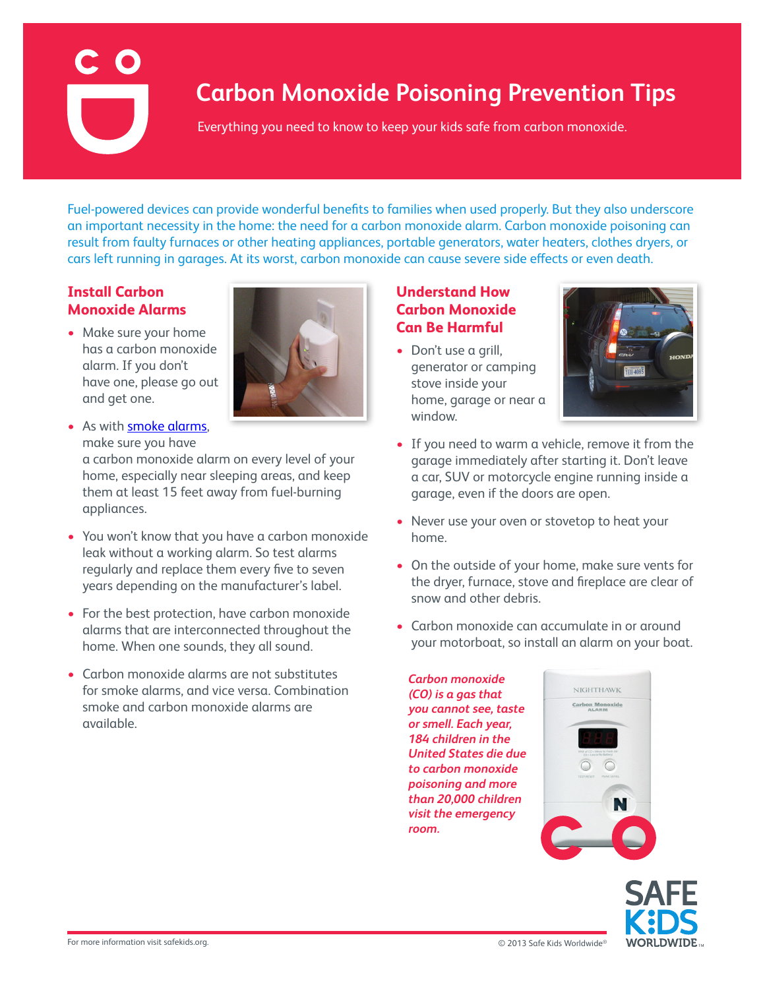# **Carbon Monoxide Poisoning Prevention Tips**

Everything you need to know to keep your kids safe from carbon monoxide.

Fuel-powered devices can provide wonderful benefits to families when used properly. But they also underscore an important necessity in the home: the need for a carbon monoxide alarm. Carbon monoxide poisoning can result from faulty furnaces or other heating appliances, portable generators, water heaters, clothes dryers, or cars left running in garages. At its worst, carbon monoxide can cause severe side effects or even death.

### **Install Carbon Monoxide Alarms**

• Make sure your home has a carbon monoxide alarm. If you don't have one, please go out and get one.



• As with **smoke alarms**, make sure you have a carbon monoxide alarm on every level of your

home, especially near sleeping areas, and keep them at least 15 feet away from fuel-burning appliances.

- You won't know that you have a carbon monoxide leak without a working alarm. So test alarms regularly and replace them every five to seven years depending on the manufacturer's label.
- For the best protection, have carbon monoxide alarms that are interconnected throughout the home. When one sounds, they all sound.
- Carbon monoxide alarms are not substitutes for smoke alarms, and vice versa. Combination smoke and carbon monoxide alarms are available.

## **Understand How Carbon Monoxide Can Be Harmful**

• Don't use a grill, generator or camping stove inside your home, garage or near a window.



- If you need to warm a vehicle, remove it from the garage immediately after starting it. Don't leave a car, SUV or motorcycle engine running inside a garage, even if the doors are open.
- Never use your oven or stovetop to heat your home.
- On the outside of your home, make sure vents for the dryer, furnace, stove and fireplace are clear of snow and other debris.
- Carbon monoxide can accumulate in or around your motorboat, so install an alarm on your boat.

*Carbon monoxide (CO) is a gas that you cannot see, taste or smell. Each year, 184 children in the United States die due to carbon monoxide poisoning and more than 20,000 children visit the emergency room.*